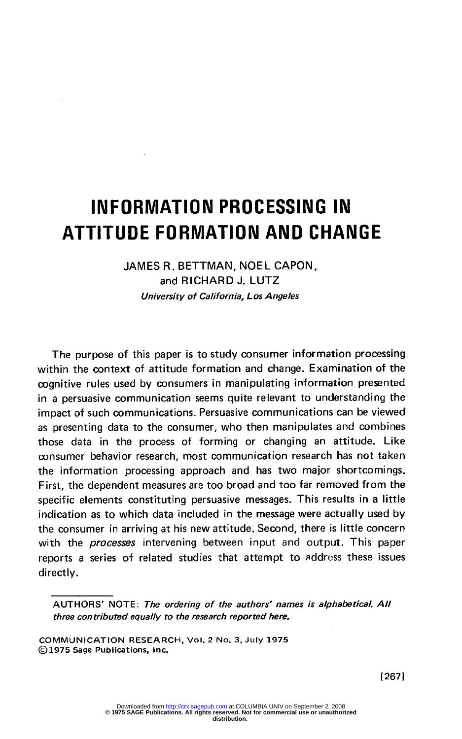# INFORMATION PROCESSING IN ATTITUDE FORMATION AND CHANGE

## JAMES R. BETTMAN, NOEL CAPON, and RICHARD J. LUTZ University of California, Los Angeles

The purpose of this paper is to study consumer information processing within the context of attitude formation and change. Examination of the cognitive rules used by consumers in manipulating information presented in a persuasive communication seems quite relevant to understanding the impact of such communications. Persuasive communications can be viewed as presenting data to the consumer, who then manipulates and combines those data in the process of forming or changing an attitude. Like consumer behavior research, most communication research has not taken the information processing approach and has two major shortcomings. First, the dependent measures are too broad and too far removed from the specific elements constituting persuasive messages. This results in a little indication as to which data included in the message were actually used by the consumer in arriving at his new attitude. Second, there is little concern with the *processes* intervening between input and output. This paper reports a series of related studies that attempt to address these issues directly.

AUTHORS' NOTE: The ordering of the authors' names is alphabetical. All three contributed equally to the research reported here.

COMMUNICATION RESEARCH, Vol. 2 No. 3, July 1975 ©1975 Sage Publications, Inc.

[267]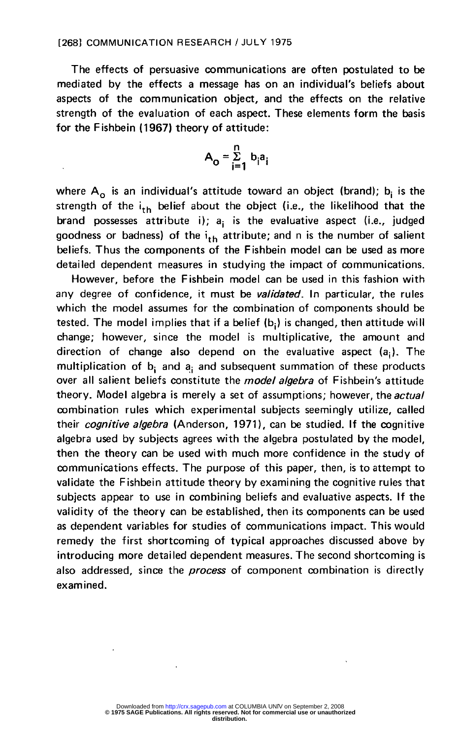The effects of persuasive communications are often postulated to be mediated by the effects a message has on an individual's beliefs about aspects of the communication object, and the effects on the relative strength of the evaluation of each aspect. These elements form the basis for the Fishbein (1967) theory of attitude:

$$
A_o = \sum_{i=1}^{n} b_i a_i
$$

where  $A_0$  is an individual's attitude toward an object (brand); b<sub>i</sub> is the strength of the  $i_{th}$  belief about the object (i.e., the likelihood that the brand possesses attribute i);  $a_i$  is the evaluative aspect (i.e., judged goodness or badness) of the  $i_{th}$  attribute; and n is the number of salient beliefs. Thus the components of the Fishbein model can be used as more detailed dependent measures in studying the impact of communications.

However, before the Fishbein model can be used in this fashion with any degree of confidence, it must be *validated*. In particular, the rules which the model assumes for the combination of components should be tested. The model implies that if a belief  $(b_i)$  is changed, then attitude will change; however, since the model is multiplicative, the amount and direction of change also depend on the evaluative aspect  $(a_i)$ . The multiplication of b<sub>i</sub> and a<sub>i</sub> and subsequent summation of these products over all salient beliefs constitute the *model algebra* of Fishbein's attitude theory. Model algebra is merely a set of assumptions; however, the actual combination rules which experimental subjects seemingly utilize, called their cognitive algebra (Anderson, 1971), can be studied. If the cognitive algebra used by subjects agrees with the algebra postulated by the model, then the theory can be used with much more confidence in the study of communications effects. The purpose of this paper, then, is to attempt to validate the Fishbein attitude theory by examining the cognitive rules that subjects appear to use in combining beliefs and evaluative aspects. If the validity of the theory can be established, then its components can be used as dependent variables for studies of communications impact. This would remedy the first shortcoming of typical approaches discussed above by introducing more detailed dependent measures. The second shortcoming is also addressed, since the *process* of component combination is directly examined.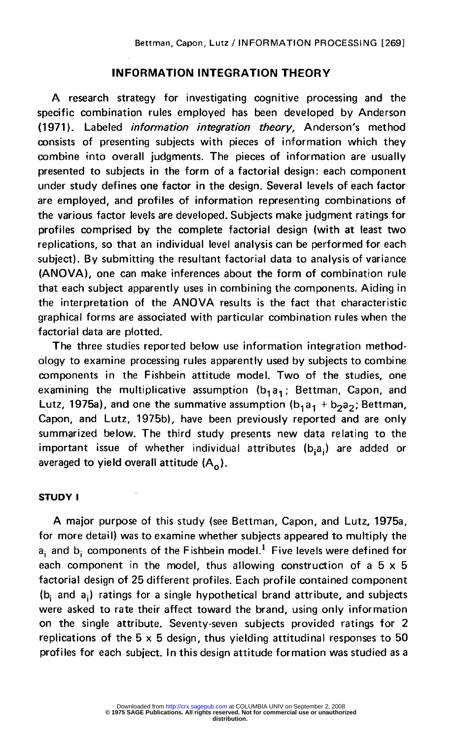## INFORMATION INTEGRATION THEORY

A research strategy for investigating cognitive processing and the specific combination rules employed has been developed by Anderson (1971). Labeled information integration theory, Anderson's method consists of presenting subjects with pieces of information which they combine into overall judgments. The pieces of information are usually presented to subjects in the form of a factorial design: each component under study defines one factor in the design. Several levels of each factor are employed, and profiles of information representing combinations of the various factor levels are developed. Subjects make judgment ratings for profiles comprised by the complete factorial design (with at least two replications, so that an individual level analysis can be performed for each subject). By submitting the resultant factorial data to analysis of variance (ANOVA), one can make inferences about the form of combination rule that each subject apparently uses in combining the components. Aiding in the interpretation of the ANOVA results is the fact that characteristic graphical forms are associated with particular combination rules when the factorial data are plotted.

The three studies reported below use information integration methodology to examine processing rules apparently used by subjects to combine components in the Fishbein attitude model. Two of the studies, one examining the multiplicative assumption  $(b_1 a_1; Bettman, Capon, and$ Lutz, 1975a), and one the summative assumption  $(b_1a_1 + b_2a_2)$ ; Bettman, Capon, and Lutz, 1975b), have been previously reported and are only summarized below. The third study presents new data relating to the important issue of whether individual attributes  $(b<sub>i</sub>a<sub>i</sub>)$  are added or averaged to yield overall attitude  $(A_0)$ .

#### STUDY I '

A major purpose of this study (see Bettman, Capon, and Lutz, 1975a, for more detail) was to examine whether subjects appeared to multiply the  $a_i$  and  $b_i$  components of the Fishbein model.<sup>1</sup> Five levels were defined for each component in the model, thus allowing construction of a  $5 \times 5$ factorial design of 25 different profiles. Each profile contained component  $(b<sub>i</sub>$  and  $a<sub>i</sub>$ ) ratings for a single hypothetical brand attribute, and subjects were asked to rate their affect toward the brand, using only information on the single attribute. Seventy-seven subjects provided ratings for 2 replications of the  $5 \times 5$  design, thus yielding attitudinal responses to  $50$ profiles for each subject. In this design attitude formation was studied as a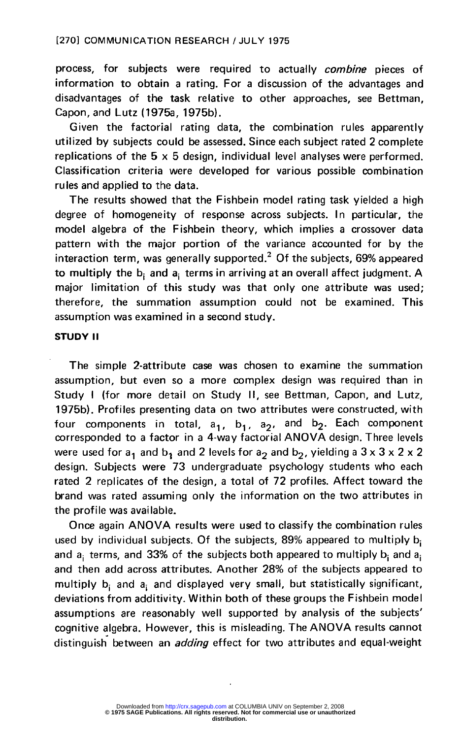process, for subjects were required to actually *combine* pieces of information to obtain a rating. For a discussion of the advantages and disadvantages of the task relative to other approaches, see Bettman, Capon, and Lutz (1975a, 1975b).

Given the factorial rating data, the combination rules apparently utilized by subjects could be assessed. Since each subject rated 2 complete replications of the  $5 \times 5$  design, individual level analyses were performed. Classification criteria were developed for various possible combination rules and applied to the data.

The results showed that the Fishbein model rating task yielded a high degree of homogeneity of response across subjects. In particular, the model algebra of the Fishbein theory, which implies a crossover data pattern with the major portion of the variance accounted for by the interaction term, was generally supported. $2$  Of the subjects, 69% appeared to multiply the b<sub>i</sub> and a<sub>i</sub> terms in arriving at an overall affect judgment. A major limitation of this study was that only one attribute was used; therefore, the summation assumption could not be examined. This assumption was examined in a second study.

## STUDY II

The simple 2-attribute case was chosen to examine the summation assumption, but even so a more complex design was required than in Study I (for more detail on Study 11, see Bettman, Capon, and Lutz, 1975b). Profiles presenting data on two attributes were constructed, with four components in total,  $a_1$ ,  $b_1$ ,  $a_2$ , and  $b_2$ . Each component corresponded to a factor in a 4-way factorial ANOVA design. Three levels were used for  $a_1$  and  $b_1$  and 2 levels for  $a_2$  and  $b_2$ , yielding a  $3 \times 3 \times 2 \times 2$ design. Subjects were 73 undergraduate psychology students who each rated 2 replicates of the design, a total of 72 profiles. Affect toward the brand was rated assuming only the information on the two attributes in the profile was available.

Once again ANOVA results were used to classify the combination rules used by individual subjects. Of the subjects,  $89\%$  appeared to multiply b<sub>i</sub> and  $a_i$  terms, and 33% of the subjects both appeared to multiply  $b_i$  and  $a_i$ and then add across attributes. Another 28% of the subjects appeared to multiply  $b_i$  and  $a_i$  and displayed very small, but statistically significant, deviations from additivity. Within both of these groups the Fishbein model l assumptions are reasonably well supported by analysis of the subjects' cognitive algebra. However, this is misleading. The ANOVA results cannot distinguish between an *adding* effect for two attributes and equal-weight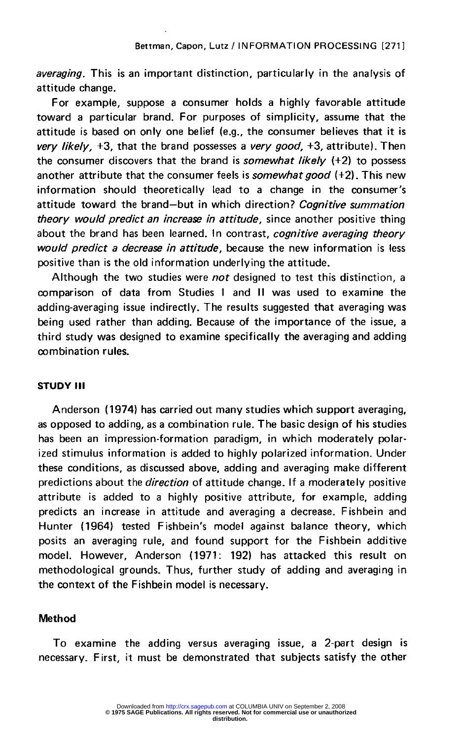averaging. This is an important distinction, particularly in the analysis of attitude change.

For example, suppose a consumer holds a highly favorable attitude toward a particular brand. For purposes of simplicity, assume that the attitude is based on only one belief (e.g., the consumer believes that it is very likely, +3, that the brand possesses a very good, +3, attribute). Then the consumer discovers that the brand is *somewhat likely*  $(+2)$  to possess another attribute that the consumer feels is somewhat good  $(+2)$ . This new information should theoretically lead to a change in the consumer's attitude toward the brand-but in which direction? Cognitive summation theory would predict an increase in attitude, since another positive thing about the brand has been learned. In contrast, *cognitive averaging theory* would predict a decrease in attitude, because the new information is less positive than is the old information underlying the attitude.

Although the two studies were not designed to test this distinction, a comparison of data from Studies I and 11 was used to examine the adding-averaging issue indirectly. The results suggested that averaging was being used rather than adding. Because of the importance of the issue, a third study was designed to examine specifically the averaging and adding combination rules.

## STUDY III

Anderson (1974) has carried out many studies which support averaging, as opposed to adding, as a combination rule. The basic design of his studies has been an impression-formation paradigm, in which moderately polarized stimulus information is added to highly polarized information. Under these conditions, as discussed above, adding and averaging make different predictions about the *direction* of attitude change. If a moderately positive attribute is added to a highly positive attribute, for example, adding predicts an increase in attitude and averaging a decrease. Fishbein and Hunter (1964) tested Fishbein's model against balance theory, which posits an averaging rule, and found support for the Fishbein additive model. However, Anderson (1971: 192) has attacked this result on methodological grounds. Thus, further study of adding and averaging in the context of the Fishbein model is necessary.

#### Method

To examine the adding versus averaging issue, a 2-part design is necessary. First, it must be demonstrated that subjects satisfy the other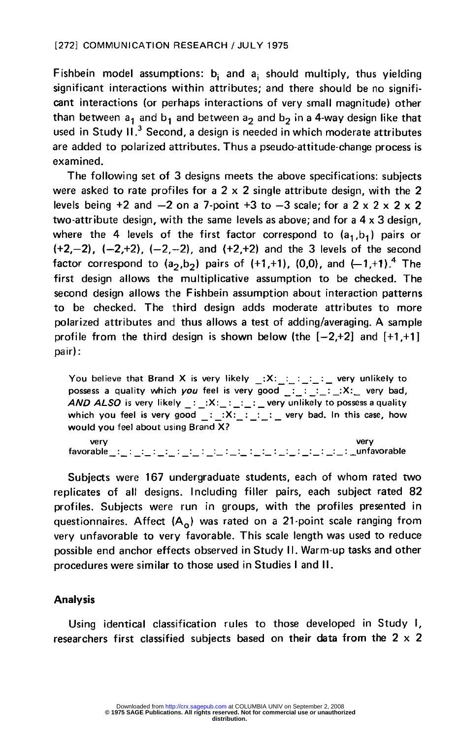Fishbein model assumptions:  $b_i$  and  $a_i$  should multiply, thus yielding significant interactions within attributes; and there should be no signifi cant interactions (or perhaps interactions of very small magnitude) other than between  $a_1$  and  $b_1$  and between  $a_2$  and  $b_2$  in a 4-way design like that used in Study II. $<sup>3</sup>$  Second, a design is needed in which moderate attributes</sup> are added to polarized attributes. Thus a pseudo-attitude-change process is examined.

The following set of 3 designs meets the above specifications: subjects were asked to rate profiles for a  $2 \times 2$  single attribute design, with the 2 levels being  $+2$  and  $-2$  on a 7-point  $+3$  to  $-3$  scale; for a 2 x 2 x 2 x 2 two-attribute design, with the same levels as above; and for a  $4 \times 3$  design, where the 4 levels of the first factor correspond to  $(a_1, b_1)$  pairs or  $(+2,-2)$ ,  $(-2,+2)$ ,  $(-2,-2)$ , and  $(+2,+2)$  and the 3 levels of the second factor correspond to  $(a_2,b_2)$  pairs of  $(+1,+1)$ ,  $(0,0)$ , and  $(-1,+1)^{4}$  The first design allows the multiplicative assumption to be checked. The second design allows the Fishbein assumption about interaction patterns to be checked. The third design adds moderate attributes to more polarized attributes and thus allows a test of adding/averaging. A sample profile from the third design is shown below (the  $[-2, +2]$  and  $[+1, +1]$ pair):

You believe that Brand X is very likely  $x: x : x : y : y : y$  very unlikely to possess a quality which you feel is very good  $::::...::X:-$  very bad, AND ALSO is very likely  $\therefore$   $X:$   $:$   $:$   $:$   $\therefore$  very unlikely to possess a quality which you feel is very good  $\therefore$   $X:$   $\therefore$   $\therefore$  very bad. In this case, how would you feel about using Brand X?

```
very very
favorable-:-: -unfavorable
```
Subjects were 167 undergraduate students, each of whom rated two replicates of all designs. Including filler pairs, each subject rated 82 profiles. Subjects were run in groups, with the profiles presented in questionnaires. Affect  $(A<sub>o</sub>)$  was rated on a 21-point scale ranging from very unfavorable to very favorable. This scale length was used to reduce possible end anchor effects observed in Study II. Warm-up tasks and other procedures were similar to those used in Studies I and II.

## Analysis

Using identical classification rules to those developed in Study I, researchers first classified subjects based on their data from the  $2 \times 2$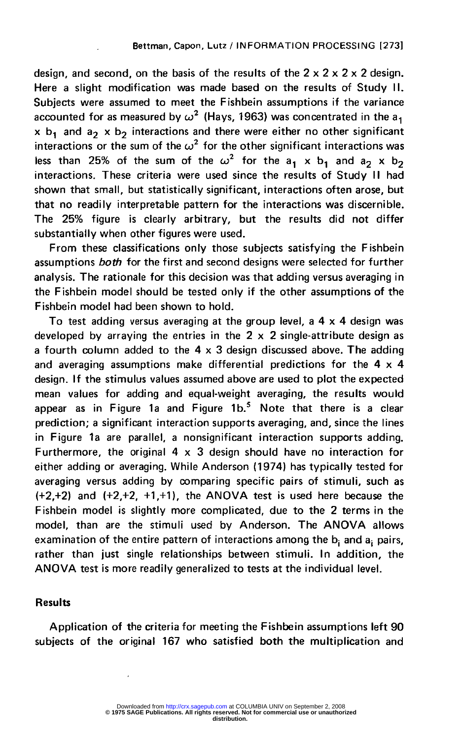design, and second, on the basis of the results of the  $2 \times 2 \times 2 \times 2$  design. Here a slight modification was made based on the results of Study II. Subjects were assumed to meet the Fishbein assumptions if the variance accounted for as measured by  $\omega^2$  (Hays, 1963) was concentrated in the a<sub>1</sub> x  $b_1$  and  $a_2$  x  $b_2$  interactions and there were either no other significant interactions or the sum of the  $\omega^2$  for the other significant interactions was less than 25% of the sum of the  $\omega^2$  for the  $a_1 \times b_1$  and  $a_2 \times b_2$ interactions. These criteria were used since the results of Study 11 had shown that small, but statistically significant, interactions often arose, but that no readily interpretable pattern for the interactions was discernible. The 25% figure is clearly arbitrary, but the results did not differ substantially when other figures were used.

From these classifications only those subjects satisfying the Fishbein assumptions *both* for the first and second designs were selected for further analysis. The rationale for this decision was that adding versus averaging in the Fishbein model should be tested only if the other assumptions of the Fishbein model had been shown to hold.

To test adding versus averaging at the group level, a  $4 \times 4$  design was developed by arraying the entries in the  $2 \times 2$  single-attribute design as a fourth column added to the  $4 \times 3$  design discussed above. The adding and averaging assumptions make differential predictions for the  $4 \times 4$ design. If the stimulus values assumed above are used to plot the expected mean values for adding and equal-weight averaging, the results would appear as in Figure 1a and Figure  $1b$ .<sup>5</sup> Note that there is a clear prediction; a significant interaction supports averaging, and, since the lines in Figure 1a are parallel, a nonsignificant interaction supports adding. Furthermore, the original  $4 \times 3$  design should have no interaction for either adding or averaging. While Anderson (1974) has typically tested for averaging versus adding by comparing specific pairs of stimuli, such as  $(+2,+2)$  and  $(+2,+2,+1,+1)$ , the ANOVA test is used here because the Fishbein model is slightly more complicated, due to the 2 terms in the model, than are the stimuli used by Anderson. The ANOVA allows examination of the entire pattern of interactions among the  $b_i$  and  $a_i$  pairs, rather than just single relationships between stimuli. In addition, the ANOVA test is more readily generalized to tests at the individual level.

#### **Results**

Application of the criteria for meeting the Fishbein assumptions left 90 subjects of the original 167 who satisfied both the multiplication and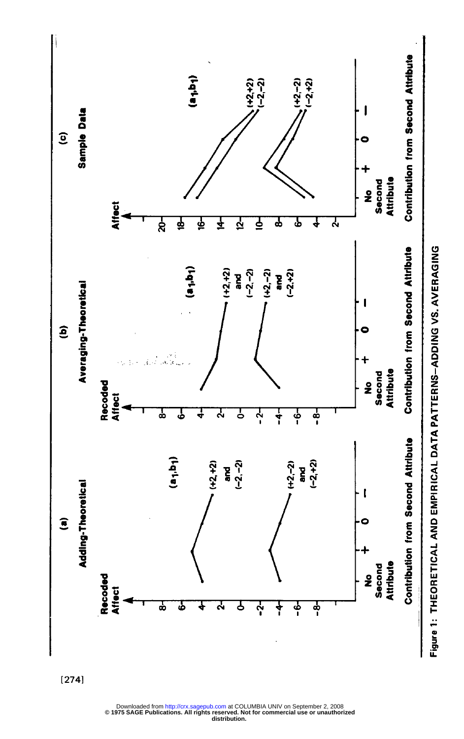

**distribution. © 1975 SAGE Publications. All rights reserved. Not for commercial use or unauthorized** Downloaded from<http://crx.sagepub.com>at COLUMBIA UNIV on September 2, 2008

ZERNS-ADDING 'A PAT THEORETICAL AND EMPIRICAL DAT Figure

C9

ERAGII

< C6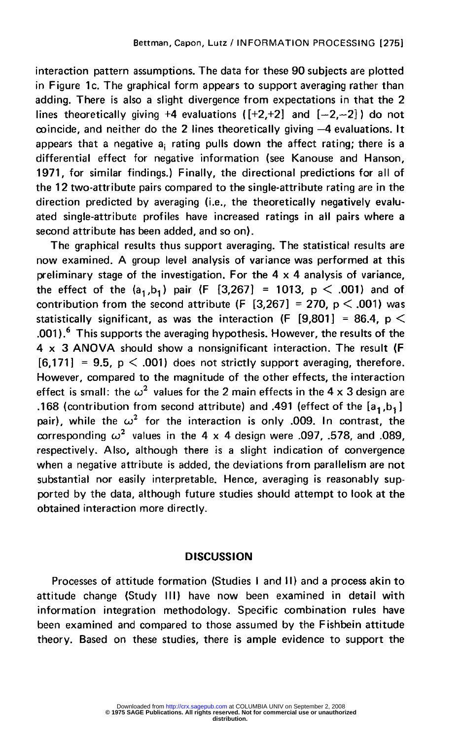interaction pattern assumptions. The data for these 90 subjects are plotted in Figure 1c. The graphical form appears to support averaging rather than adding. There is also a slight divergence from expectations in that the 2 lines theoretically giving  $+4$  evaluations ( $[-2, +2]$  and  $[-2, -2]$ ) do not coincide, and neither do the 2 lines theoretically giving -4 evaluations. It appears that a negative  $a_i$  rating pulls down the affect rating; there is a differential effect for negative information (see Kanouse and Hanson, 1971, for similar findings.) Finally, the directional predictions for all of the 12 two-attribute pairs compared to the single-attribute rating are in the direction predicted by averaging (i.e., the theoretically negatively evaluated single-attribute profiles have increased ratings in all pairs where a second attribute has been added, and so on).

The graphical results thus support averaging. The statistical results are now examined. A group level analysis of variance was performed at this preliminary stage of the investigation. For the  $4 \times 4$  analysis of variance, the effect of the  $(a_1, b_1)$  pair (F [3,267] = 1013, p < .001) and of contribution from the second attribute (F  $[3,267] = 270$ , p  $\lt$  .001) was statistically significant, as was the interaction (F [9,801] = 86.4,  $p <$ .001).<sup>6</sup> This supports the averaging hypothesis. However, the results of the 4 x 3 ANOVA should show a nonsignificant interaction. The result (F  $[6,171] = 9.5$ ,  $p \leq .001$  does not strictly support averaging, therefore. However, compared to the magnitude of the other effects, the interaction effect is small: the  $\omega^2$  values for the 2 main effects in the 4 x 3 design are .168 (contribution from second attribute) and .491 (effect of the  $[a_1, b_1]$ pair), while the  $\omega^2$  for the interaction is only .009. In contrast, the corresponding  $\omega^2$  values in the 4 x 4 design were .097, .578, and .089, respectively. Also, although there is a slight indication of convergence when a negative attribute is added, the deviations from parallelism are not substantial nor easily interpretable. Hence, averaging is reasonably supported by the data, although future studies should attempt to look at the obtained interaction more directly.

## **DISCUSSION**

Processes of attitude formation (Studies I and II) and a process akin to attitude change (Study III) have now been examined in detail with information integration methodology. Specific combination rules have been examined and compared to those assumed by the Fishbein attitude theory. Based on these studies, there is ample evidence to support the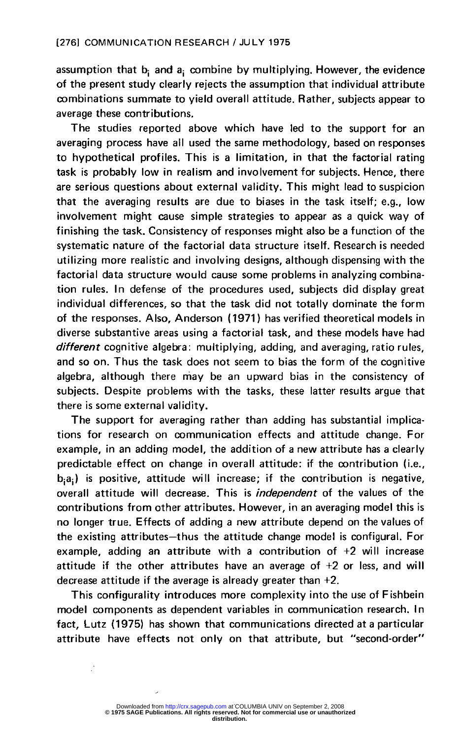assumption that  $b_i$  and  $a_i$  combine by multiplying. However, the evidence of the present study clearly rejects the assumption that individual attribute combinations summate to yield overall attitude. Rather, subjects appear to average these contributions.

The studies reported above which have led to the support for an averaging process have all used the same methodology, based on responses to hypothetical profiles. This is a limitation, in that the factorial rating task is probably low in realism and involvement for subjects. Hence, there are serious questions about external validity. This might lead to suspicion that the averaging results are due to biases in the task itself; e.g., low involvement might cause simple strategies to appear as a quick way of finishing the task. Consistency of responses might also be a function of the systematic nature of the factorial data structure itself. Research is needed utilizing more realistic and involving designs, although dispensing with the factorial data structure would cause some problems in analyzing combination rules. In defense of the procedures used, subjects did display great individual differences, so that the task did not totally dominate the form of the responses. Also, Anderson (1971) has verified theoretical models in diverse substantive areas using a factorial task, and these models have had different cognitive algebra: multiplying, adding, and averaging, ratio rules, and so on. Thus the task does not seem to bias the form of the cognitive algebra, although there may be an upward bias in the consistency of subjects. Despite problems with the tasks, these latter results argue that there is some external validity.

The support for averaging rather than adding has substantial implications for research on communication effects and attitude change. For example, in an adding model, the addition of a new attribute has a clearly predictable effect on change in overall attitude: if the contribution (i.e.,  $b_i$ a;) is positive, attitude will increase; if the contribution is negative, overall attitude will decrease. This is *independent* of the values of the contributions from other attributes. However, in an averaging model this is no longer true. Effects of adding a new attribute depend on the values of the existing attributes-thus the attitude change model is configural. For example, adding an attribute with a contribution of +2 will increase attitude if the other attributes have an average of +2 or less, and will decrease attitude if the average is already greater than +2.

This configurality introduces more complexity into the use of Fishbein model components as dependent variables in communication research. In fact, Lutz (1975) has shown that communications directed at a particular attribute have effects not only on that attribute, but "second-order"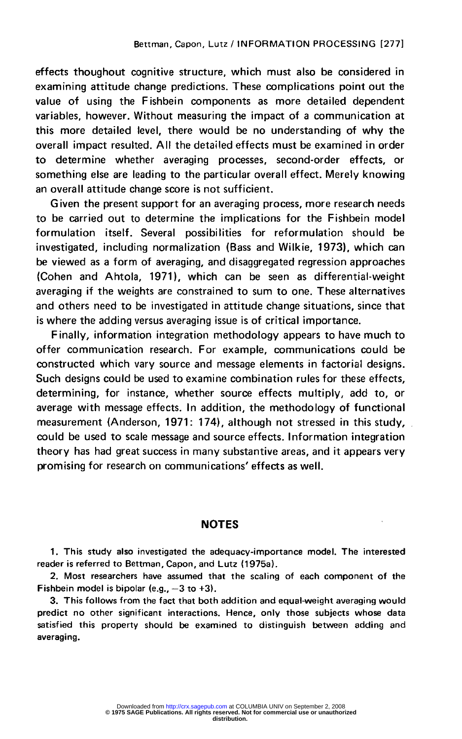effects thoughout cognitive structure, which must also be considered in examining attitude change predictions. These complications point out the value of using the Fishbein components as more detailed dependent variables, however. Without measuring the impact of a communication at this more detailed level, there would be no understanding of why the overall impact resulted. All the detailed effects must be examined in order to determine whether averaging processes, second-order effects, or something else are leading to the particular overall effect. Merely knowing an overall attitude change score is not sufficient.

Given the present support for an averaging process, more research needs to be carried out to determine the implications for the Fishbein model formulation itself. Several possibilities for reformulation should be investigated, including normalization (Bass and Wilkie, 1973), which can be viewed as a form of averaging, and disaggregated regression approaches (Cohen and Ahtola, 1971), which can be seen as differential-weight averaging if the weights are constrained to sum to one. These alternatives and others need to be investigated in attitude change situations, since that is where the adding versus averaging issue is of critical importance.

Finally, information integration methodology appears to have much to offer communication research. For example, communications could be constructed which vary source and message elements in factorial designs. Such designs could be used to examine combination rules for these effects, determining, for instance, whether source effects multiply, add to, or average with message effects. In addition, the methodology of functional measurement (Anderson, 1971: 174), although not stressed in this study, could be used to scale message and source effects. I nformation integration theory has had great success in many substantive areas, and it appears very promising for research on communications' effects as well.

## **NOTES**

1. This study also investigated the adequacy-importance model. The interested reader is referred to Bettman, Capon, and Lutz (1975a).

2. Most researchers have assumed that the scaling of each component of the Fishbein model is bipolar (e.g.,  $-3$  to  $+3$ ).

3. This follows from the fact that both addition and equal-weight averaging would predict no other significant interactions. Hence, only those subjects whose data satisfied this property should be examined to distinguish between adding and averaging.